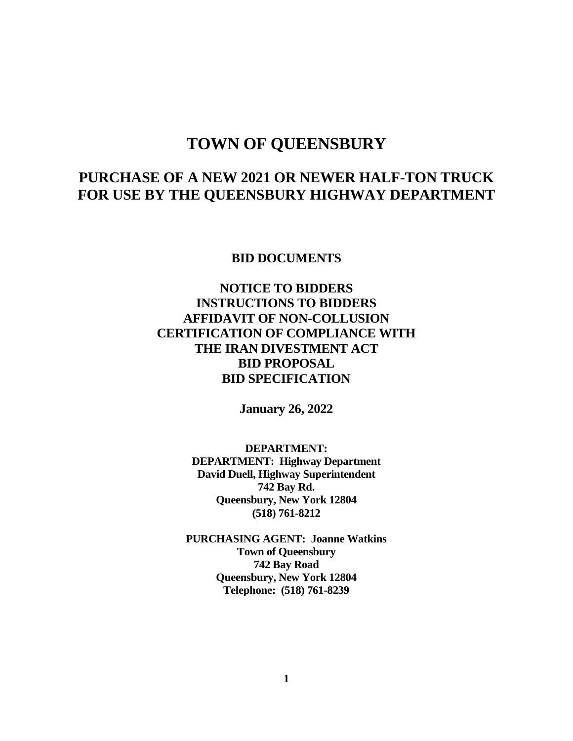# **TOWN OF QUEENSBURY**

# **PURCHASE OF A NEW 2021 OR NEWER HALF-TON TRUCK FOR USE BY THE QUEENSBURY HIGHWAY DEPARTMENT**

**BID DOCUMENTS**

# **NOTICE TO BIDDERS INSTRUCTIONS TO BIDDERS AFFIDAVIT OF NON-COLLUSION CERTIFICATION OF COMPLIANCE WITH THE IRAN DIVESTMENT ACT BID PROPOSAL BID SPECIFICATION**

**January 26, 2022**

**DEPARTMENT: DEPARTMENT: Highway Department David Duell, Highway Superintendent 742 Bay Rd. Queensbury, New York 12804 (518) 761-8212**

**PURCHASING AGENT: Joanne Watkins Town of Queensbury 742 Bay Road Queensbury, New York 12804 Telephone: (518) 761-8239**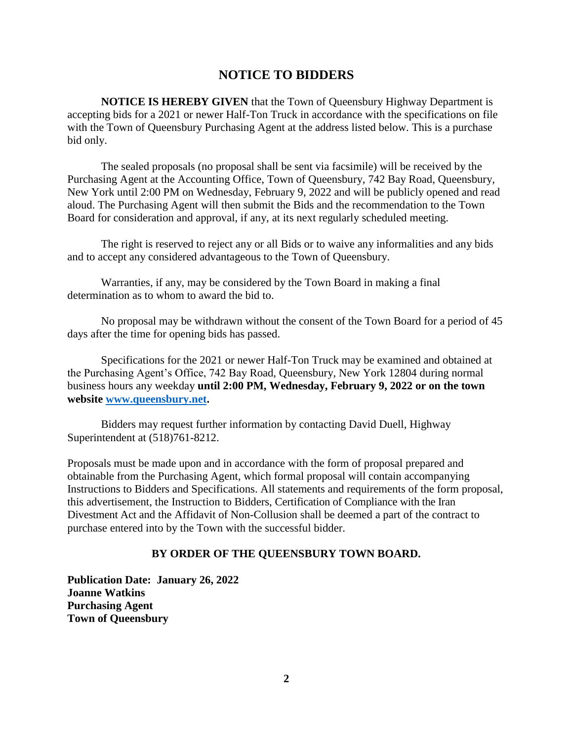# **NOTICE TO BIDDERS**

**NOTICE IS HEREBY GIVEN** that the Town of Queensbury Highway Department is accepting bids for a 2021 or newer Half-Ton Truck in accordance with the specifications on file with the Town of Queensbury Purchasing Agent at the address listed below. This is a purchase bid only.

The sealed proposals (no proposal shall be sent via facsimile) will be received by the Purchasing Agent at the Accounting Office, Town of Queensbury, 742 Bay Road, Queensbury, New York until 2:00 PM on Wednesday, February 9, 2022 and will be publicly opened and read aloud. The Purchasing Agent will then submit the Bids and the recommendation to the Town Board for consideration and approval, if any, at its next regularly scheduled meeting.

The right is reserved to reject any or all Bids or to waive any informalities and any bids and to accept any considered advantageous to the Town of Queensbury.

Warranties, if any, may be considered by the Town Board in making a final determination as to whom to award the bid to.

No proposal may be withdrawn without the consent of the Town Board for a period of 45 days after the time for opening bids has passed.

Specifications for the 2021 or newer Half-Ton Truck may be examined and obtained at the Purchasing Agent's Office, 742 Bay Road, Queensbury, New York 12804 during normal business hours any weekday **until 2:00 PM, Wednesday, February 9, 2022 or on the town website [www.queensbury.net.](http://www.queensbury.net/)**

Bidders may request further information by contacting David Duell, Highway Superintendent at (518)761-8212.

Proposals must be made upon and in accordance with the form of proposal prepared and obtainable from the Purchasing Agent, which formal proposal will contain accompanying Instructions to Bidders and Specifications. All statements and requirements of the form proposal, this advertisement, the Instruction to Bidders, Certification of Compliance with the Iran Divestment Act and the Affidavit of Non-Collusion shall be deemed a part of the contract to purchase entered into by the Town with the successful bidder.

### **BY ORDER OF THE QUEENSBURY TOWN BOARD.**

**Publication Date: January 26, 2022 Joanne Watkins Purchasing Agent Town of Queensbury**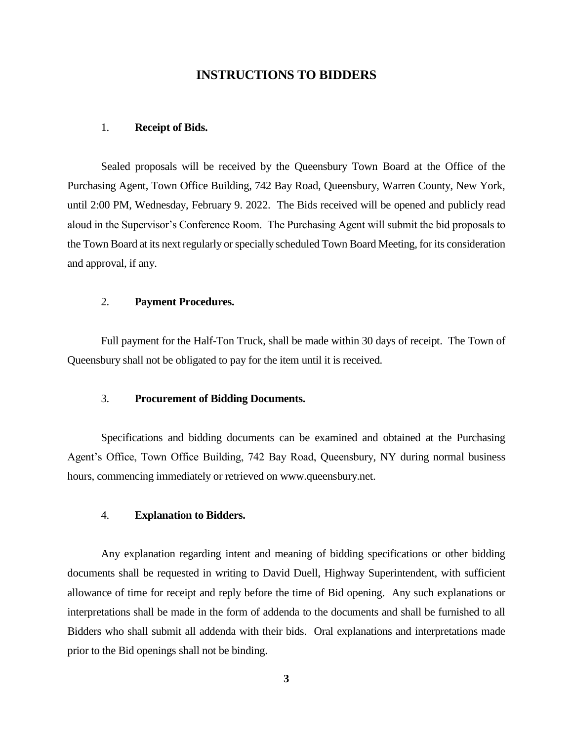## **INSTRUCTIONS TO BIDDERS**

#### 1. **Receipt of Bids.**

Sealed proposals will be received by the Queensbury Town Board at the Office of the Purchasing Agent, Town Office Building, 742 Bay Road, Queensbury, Warren County, New York, until 2:00 PM, Wednesday, February 9. 2022. The Bids received will be opened and publicly read aloud in the Supervisor's Conference Room. The Purchasing Agent will submit the bid proposals to the Town Board at its next regularly or specially scheduled Town Board Meeting, for its consideration and approval, if any.

#### 2. **Payment Procedures.**

Full payment for the Half-Ton Truck, shall be made within 30 days of receipt. The Town of Queensbury shall not be obligated to pay for the item until it is received.

#### 3. **Procurement of Bidding Documents.**

Specifications and bidding documents can be examined and obtained at the Purchasing Agent's Office, Town Office Building, 742 Bay Road, Queensbury, NY during normal business hours, commencing immediately or retrieved on www.queensbury.net.

### 4. **Explanation to Bidders.**

Any explanation regarding intent and meaning of bidding specifications or other bidding documents shall be requested in writing to David Duell, Highway Superintendent, with sufficient allowance of time for receipt and reply before the time of Bid opening. Any such explanations or interpretations shall be made in the form of addenda to the documents and shall be furnished to all Bidders who shall submit all addenda with their bids. Oral explanations and interpretations made prior to the Bid openings shall not be binding.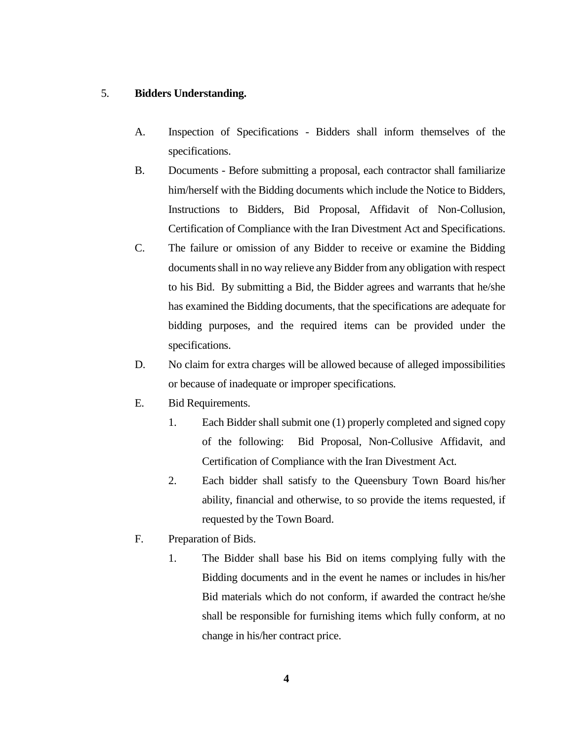### 5. **Bidders Understanding.**

- A. Inspection of Specifications Bidders shall inform themselves of the specifications.
- B. Documents Before submitting a proposal, each contractor shall familiarize him/herself with the Bidding documents which include the Notice to Bidders, Instructions to Bidders, Bid Proposal, Affidavit of Non-Collusion, Certification of Compliance with the Iran Divestment Act and Specifications.
- C. The failure or omission of any Bidder to receive or examine the Bidding documents shall in no way relieve any Bidder from any obligation with respect to his Bid. By submitting a Bid, the Bidder agrees and warrants that he/she has examined the Bidding documents, that the specifications are adequate for bidding purposes, and the required items can be provided under the specifications.
- D. No claim for extra charges will be allowed because of alleged impossibilities or because of inadequate or improper specifications.
- E. Bid Requirements.
	- 1. Each Bidder shall submit one (1) properly completed and signed copy of the following: Bid Proposal, Non-Collusive Affidavit, and Certification of Compliance with the Iran Divestment Act.
	- 2. Each bidder shall satisfy to the Queensbury Town Board his/her ability, financial and otherwise, to so provide the items requested, if requested by the Town Board.
- F. Preparation of Bids.
	- 1. The Bidder shall base his Bid on items complying fully with the Bidding documents and in the event he names or includes in his/her Bid materials which do not conform, if awarded the contract he/she shall be responsible for furnishing items which fully conform, at no change in his/her contract price.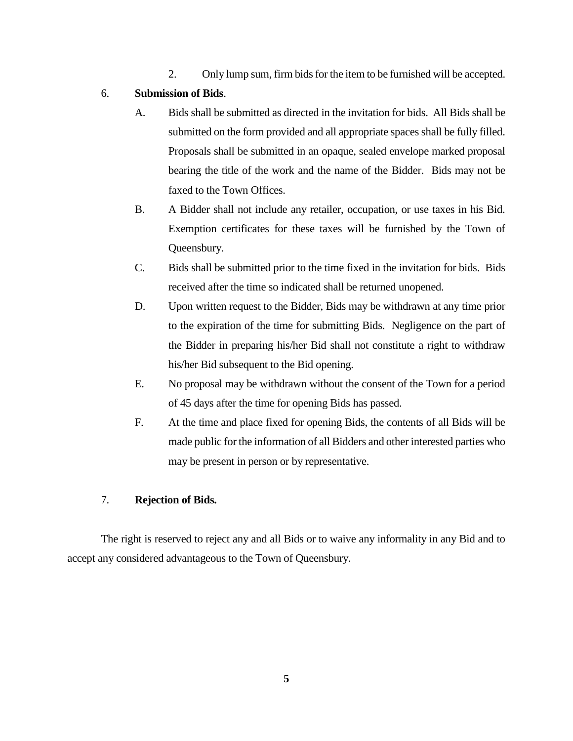2. Only lump sum, firm bids for the item to be furnished will be accepted.

## 6. **Submission of Bids**.

- A. Bids shall be submitted as directed in the invitation for bids. All Bids shall be submitted on the form provided and all appropriate spaces shall be fully filled. Proposals shall be submitted in an opaque, sealed envelope marked proposal bearing the title of the work and the name of the Bidder. Bids may not be faxed to the Town Offices.
- B. A Bidder shall not include any retailer, occupation, or use taxes in his Bid. Exemption certificates for these taxes will be furnished by the Town of Queensbury.
- C. Bids shall be submitted prior to the time fixed in the invitation for bids. Bids received after the time so indicated shall be returned unopened.
- D. Upon written request to the Bidder, Bids may be withdrawn at any time prior to the expiration of the time for submitting Bids. Negligence on the part of the Bidder in preparing his/her Bid shall not constitute a right to withdraw his/her Bid subsequent to the Bid opening.
- E. No proposal may be withdrawn without the consent of the Town for a period of 45 days after the time for opening Bids has passed.
- F. At the time and place fixed for opening Bids, the contents of all Bids will be made public for the information of all Bidders and other interested parties who may be present in person or by representative.

## 7. **Rejection of Bids.**

The right is reserved to reject any and all Bids or to waive any informality in any Bid and to accept any considered advantageous to the Town of Queensbury.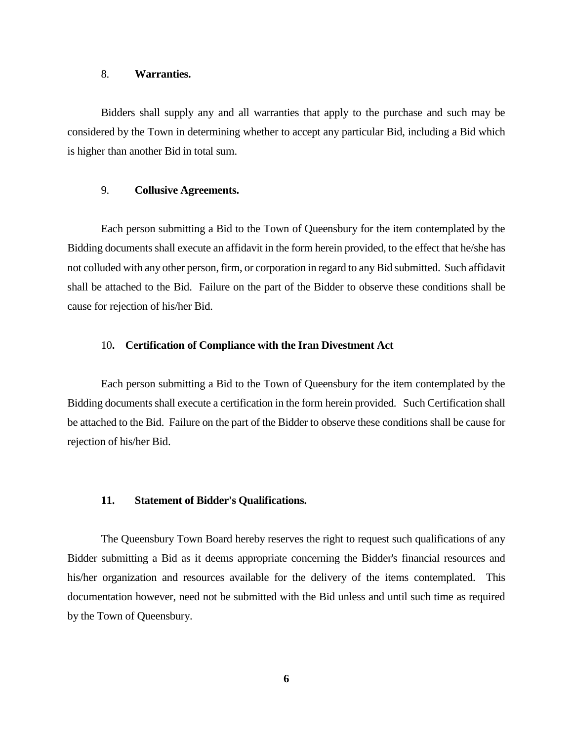#### 8. **Warranties.**

Bidders shall supply any and all warranties that apply to the purchase and such may be considered by the Town in determining whether to accept any particular Bid, including a Bid which is higher than another Bid in total sum.

#### 9. **Collusive Agreements.**

Each person submitting a Bid to the Town of Queensbury for the item contemplated by the Bidding documents shall execute an affidavit in the form herein provided, to the effect that he/she has not colluded with any other person, firm, or corporation in regard to any Bid submitted. Such affidavit shall be attached to the Bid. Failure on the part of the Bidder to observe these conditions shall be cause for rejection of his/her Bid.

#### 10**. Certification of Compliance with the Iran Divestment Act**

Each person submitting a Bid to the Town of Queensbury for the item contemplated by the Bidding documents shall execute a certification in the form herein provided. Such Certification shall be attached to the Bid. Failure on the part of the Bidder to observe these conditions shall be cause for rejection of his/her Bid.

#### **11. Statement of Bidder's Qualifications.**

The Queensbury Town Board hereby reserves the right to request such qualifications of any Bidder submitting a Bid as it deems appropriate concerning the Bidder's financial resources and his/her organization and resources available for the delivery of the items contemplated. This documentation however, need not be submitted with the Bid unless and until such time as required by the Town of Queensbury.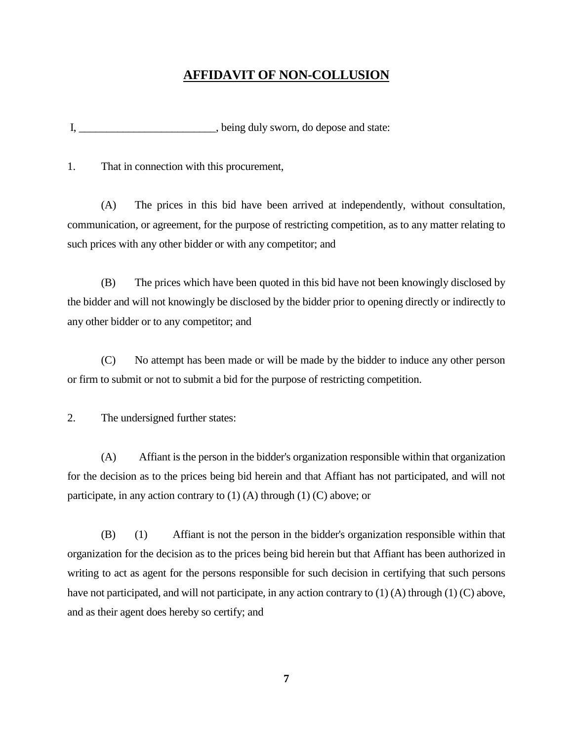# **AFFIDAVIT OF NON-COLLUSION**

I, \_\_\_\_\_\_\_\_\_\_\_\_\_\_\_\_\_\_\_\_\_\_\_\_, being duly sworn, do depose and state:

1. That in connection with this procurement,

(A) The prices in this bid have been arrived at independently, without consultation, communication, or agreement, for the purpose of restricting competition, as to any matter relating to such prices with any other bidder or with any competitor; and

(B) The prices which have been quoted in this bid have not been knowingly disclosed by the bidder and will not knowingly be disclosed by the bidder prior to opening directly or indirectly to any other bidder or to any competitor; and

(C) No attempt has been made or will be made by the bidder to induce any other person or firm to submit or not to submit a bid for the purpose of restricting competition.

2. The undersigned further states:

(A) Affiant is the person in the bidder's organization responsible within that organization for the decision as to the prices being bid herein and that Affiant has not participated, and will not participate, in any action contrary to  $(1)$  (A) through  $(1)$  (C) above; or

(B) (1) Affiant is not the person in the bidder's organization responsible within that organization for the decision as to the prices being bid herein but that Affiant has been authorized in writing to act as agent for the persons responsible for such decision in certifying that such persons have not participated, and will not participate, in any action contrary to (1) (A) through (1) (C) above, and as their agent does hereby so certify; and

**7**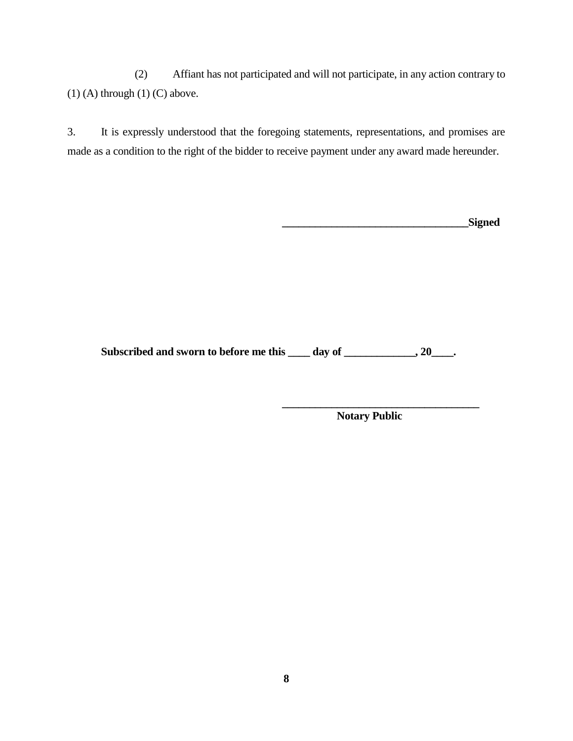(2) Affiant has not participated and will not participate, in any action contrary to  $(1)$  (A) through  $(1)$  (C) above.

3. It is expressly understood that the foregoing statements, representations, and promises are made as a condition to the right of the bidder to receive payment under any award made hereunder.

| Signed |
|--------|
|        |

Subscribed and sworn to before me this \_\_\_\_ day of \_\_\_\_\_\_\_\_\_\_\_, 20\_\_\_\_.

**Notary Public**

**\_\_\_\_\_\_\_\_\_\_\_\_\_\_\_\_\_\_\_\_\_\_\_\_\_\_\_\_\_\_\_\_\_\_\_\_**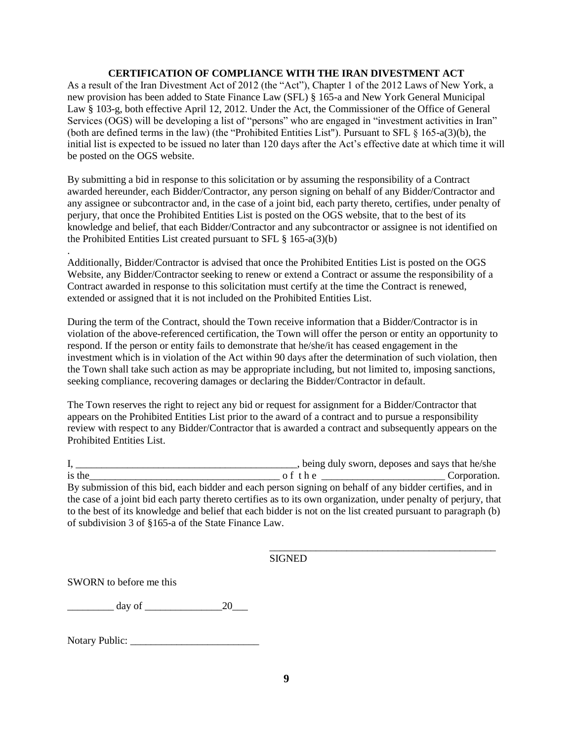#### **CERTIFICATION OF COMPLIANCE WITH THE IRAN DIVESTMENT ACT**

As a result of the Iran Divestment Act of 2012 (the "Act"), Chapter 1 of the 2012 Laws of New York, a new provision has been added to State Finance Law (SFL) § 165-a and New York General Municipal Law § 103-g, both effective April 12, 2012. Under the Act, the Commissioner of the Office of General Services (OGS) will be developing a list of "persons" who are engaged in "investment activities in Iran" (both are defined terms in the law) (the "Prohibited Entities List"). Pursuant to SFL § 165-a(3)(b), the initial list is expected to be issued no later than 120 days after the Act's effective date at which time it will be posted on the OGS website.

By submitting a bid in response to this solicitation or by assuming the responsibility of a Contract awarded hereunder, each Bidder/Contractor, any person signing on behalf of any Bidder/Contractor and any assignee or subcontractor and, in the case of a joint bid, each party thereto, certifies, under penalty of perjury, that once the Prohibited Entities List is posted on the OGS website, that to the best of its knowledge and belief, that each Bidder/Contractor and any subcontractor or assignee is not identified on the Prohibited Entities List created pursuant to SFL § 165-a(3)(b)

Additionally, Bidder/Contractor is advised that once the Prohibited Entities List is posted on the OGS Website, any Bidder/Contractor seeking to renew or extend a Contract or assume the responsibility of a Contract awarded in response to this solicitation must certify at the time the Contract is renewed, extended or assigned that it is not included on the Prohibited Entities List.

During the term of the Contract, should the Town receive information that a Bidder/Contractor is in violation of the above-referenced certification, the Town will offer the person or entity an opportunity to respond. If the person or entity fails to demonstrate that he/she/it has ceased engagement in the investment which is in violation of the Act within 90 days after the determination of such violation, then the Town shall take such action as may be appropriate including, but not limited to, imposing sanctions, seeking compliance, recovering damages or declaring the Bidder/Contractor in default.

The Town reserves the right to reject any bid or request for assignment for a Bidder/Contractor that appears on the Prohibited Entities List prior to the award of a contract and to pursue a responsibility review with respect to any Bidder/Contractor that is awarded a contract and subsequently appears on the Prohibited Entities List.

I, \_\_\_\_\_\_\_\_\_\_\_\_\_\_\_\_\_\_\_\_\_\_\_\_\_\_\_\_\_\_\_\_\_\_\_\_\_\_\_\_\_\_\_, being duly sworn, deposes and says that he/she is the  $\Box$  Corporation. By submission of this bid, each bidder and each person signing on behalf of any bidder certifies, and in the case of a joint bid each party thereto certifies as to its own organization, under penalty of perjury, that to the best of its knowledge and belief that each bidder is not on the list created pursuant to paragraph (b) of subdivision 3 of §165-a of the State Finance Law.

SIGNED

\_\_\_\_\_\_\_\_\_\_\_\_\_\_\_\_\_\_\_\_\_\_\_\_\_\_\_\_\_\_\_\_\_\_\_\_\_\_\_\_\_\_\_\_

SWORN to before me this

.

 $\frac{day \text{ of } 20}{x}$ 

Notary Public: \_\_\_\_\_\_\_\_\_\_\_\_\_\_\_\_\_\_\_\_\_\_\_\_\_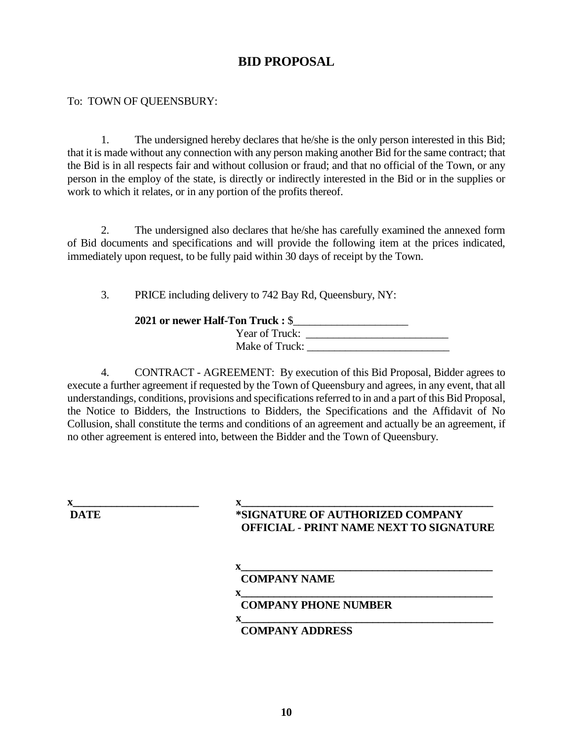# **BID PROPOSAL**

# To: TOWN OF QUEENSBURY:

1. The undersigned hereby declares that he/she is the only person interested in this Bid; that it is made without any connection with any person making another Bid for the same contract; that the Bid is in all respects fair and without collusion or fraud; and that no official of the Town, or any person in the employ of the state, is directly or indirectly interested in the Bid or in the supplies or work to which it relates, or in any portion of the profits thereof.

2. The undersigned also declares that he/she has carefully examined the annexed form of Bid documents and specifications and will provide the following item at the prices indicated, immediately upon request, to be fully paid within 30 days of receipt by the Town.

3. PRICE including delivery to 742 Bay Rd, Queensbury, NY:

## **2021 or newer Half-Ton Truck :** \$\_\_\_\_\_\_\_\_\_\_\_\_\_\_\_\_\_\_\_\_\_

| $       -$     |  |
|----------------|--|
| Year of Truck: |  |
| Make of Truck: |  |
|                |  |

4. CONTRACT - AGREEMENT: By execution of this Bid Proposal, Bidder agrees to execute a further agreement if requested by the Town of Queensbury and agrees, in any event, that all understandings, conditions, provisions and specifications referred to in and a part of this Bid Proposal, the Notice to Bidders, the Instructions to Bidders, the Specifications and the Affidavit of No Collusion, shall constitute the terms and conditions of an agreement and actually be an agreement, if no other agreement is entered into, between the Bidder and the Town of Queensbury.

**x\_\_\_\_\_\_\_\_\_\_\_\_\_\_\_\_\_\_\_\_\_\_\_ x\_\_\_\_\_\_\_\_\_\_\_\_\_\_\_\_\_\_\_\_\_\_\_\_\_\_\_\_\_\_\_\_\_\_\_\_\_\_\_\_\_\_\_\_\_\_ DATE \*SIGNATURE OF AUTHORIZED COMPANY OFFICIAL - PRINT NAME NEXT TO SIGNATURE**

 $\mathbf{x}$  and  $\mathbf{x}$  and  $\mathbf{x}$  and  $\mathbf{x}$  and  $\mathbf{x}$  and  $\mathbf{x}$  and  $\mathbf{x}$  and  $\mathbf{x}$  and  $\mathbf{x}$  and  $\mathbf{x}$  and  $\mathbf{x}$  and  $\mathbf{x}$  and  $\mathbf{x}$  and  $\mathbf{x}$  and  $\mathbf{x}$  and  $\mathbf{x}$  and  $\mathbf{x}$  and  $\mathbf{x}$  and  $\mathbf{x$  **COMPANY NAME**

 **x\_\_\_\_\_\_\_\_\_\_\_\_\_\_\_\_\_\_\_\_\_\_\_\_\_\_\_\_\_\_\_\_\_\_\_\_\_\_\_\_\_\_\_\_\_\_**

# **COMPANY PHONE NUMBER**

### **x\_\_\_\_\_\_\_\_\_\_\_\_\_\_\_\_\_\_\_\_\_\_\_\_\_\_\_\_\_\_\_\_\_\_\_\_\_\_\_\_\_\_\_\_\_\_ COMPANY ADDRESS**